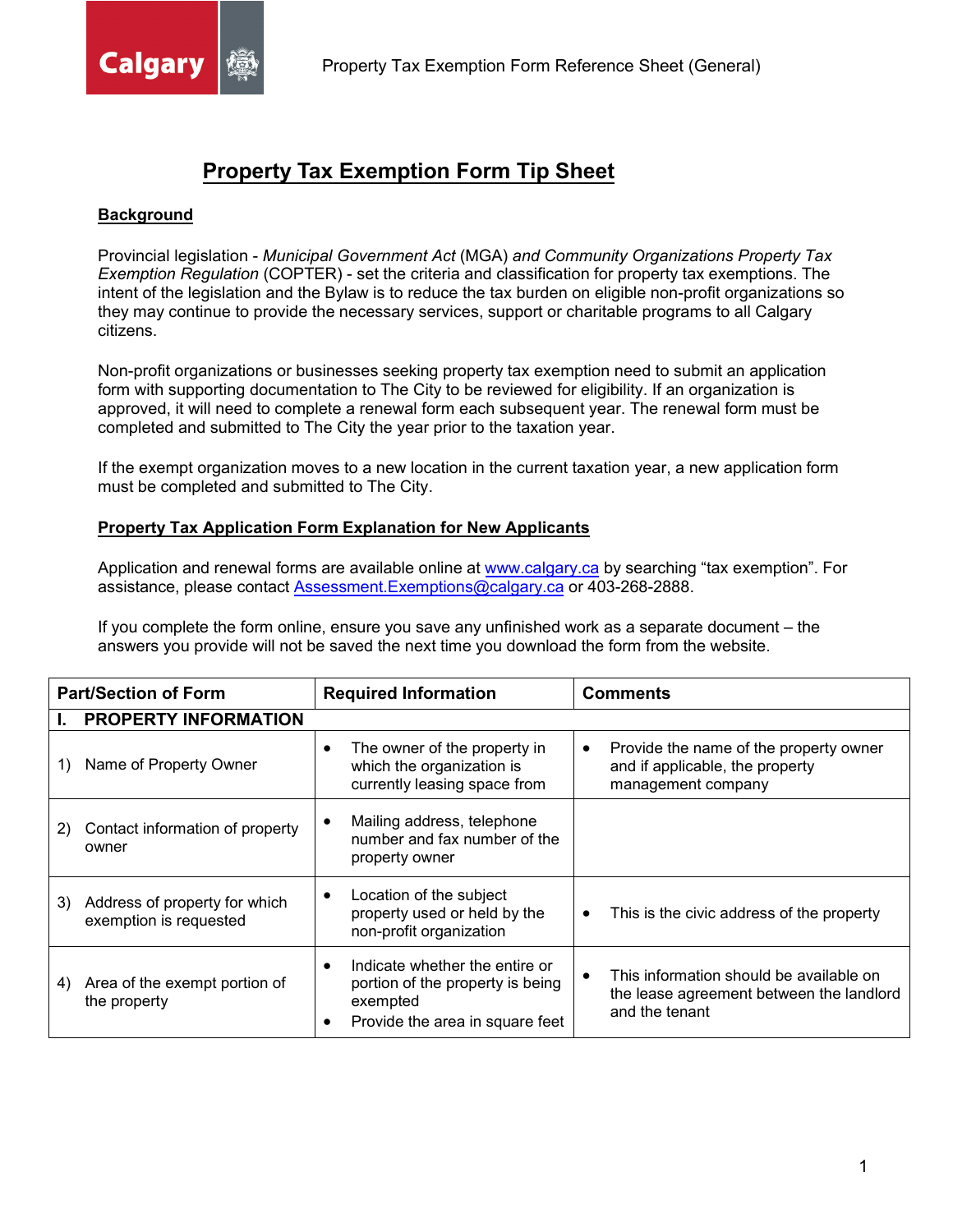

# **Property Tax Exemption Form Tip Sheet**

#### **Background**

Provincial legislation - *Municipal Government Act* (MGA) *and Community Organizations Property Tax Exemption Regulation* (COPTER) - set the criteria and classification for property tax exemptions. The intent of the legislation and the Bylaw is to reduce the tax burden on eligible non-profit organizations so they may continue to provide the necessary services, support or charitable programs to all Calgary citizens.

Non-profit organizations or businesses seeking property tax exemption need to submit an application form with supporting documentation to The City to be reviewed for eligibility. If an organization is approved, it will need to complete a renewal form each subsequent year. The renewal form must be completed and submitted to The City the year prior to the taxation year.

If the exempt organization moves to a new location in the current taxation year, a new application form must be completed and submitted to The City.

#### **Property Tax Application Form Explanation for New Applicants**

Application and renewal forms are available online at [www.calgary.ca](http://www.calgary.ca/) by searching "tax exemption". For assistance, please contact [Assessment.Exemptions@calgary.ca](mailto:Assessment.Exemptions@calgary.ca) or 403-268-2888.

If you complete the form online, ensure you save any unfinished work as a separate document – the answers you provide will not be saved the next time you download the form from the website.

| <b>Part/Section of Form</b> |                                                         | <b>Required Information</b> |                                                                                                                   | <b>Comments</b> |                                                                                                       |
|-----------------------------|---------------------------------------------------------|-----------------------------|-------------------------------------------------------------------------------------------------------------------|-----------------|-------------------------------------------------------------------------------------------------------|
|                             | <b>PROPERTY INFORMATION</b>                             |                             |                                                                                                                   |                 |                                                                                                       |
| 1)                          | Name of Property Owner                                  | $\bullet$                   | The owner of the property in<br>which the organization is<br>currently leasing space from                         | $\bullet$       | Provide the name of the property owner<br>and if applicable, the property<br>management company       |
| 2)                          | Contact information of property<br>owner                | ٠                           | Mailing address, telephone<br>number and fax number of the<br>property owner                                      |                 |                                                                                                       |
| 3)                          | Address of property for which<br>exemption is requested | ٠                           | Location of the subject<br>property used or held by the<br>non-profit organization                                | $\bullet$       | This is the civic address of the property                                                             |
| 4)                          | Area of the exempt portion of<br>the property           | $\bullet$                   | Indicate whether the entire or<br>portion of the property is being<br>exempted<br>Provide the area in square feet |                 | This information should be available on<br>the lease agreement between the landlord<br>and the tenant |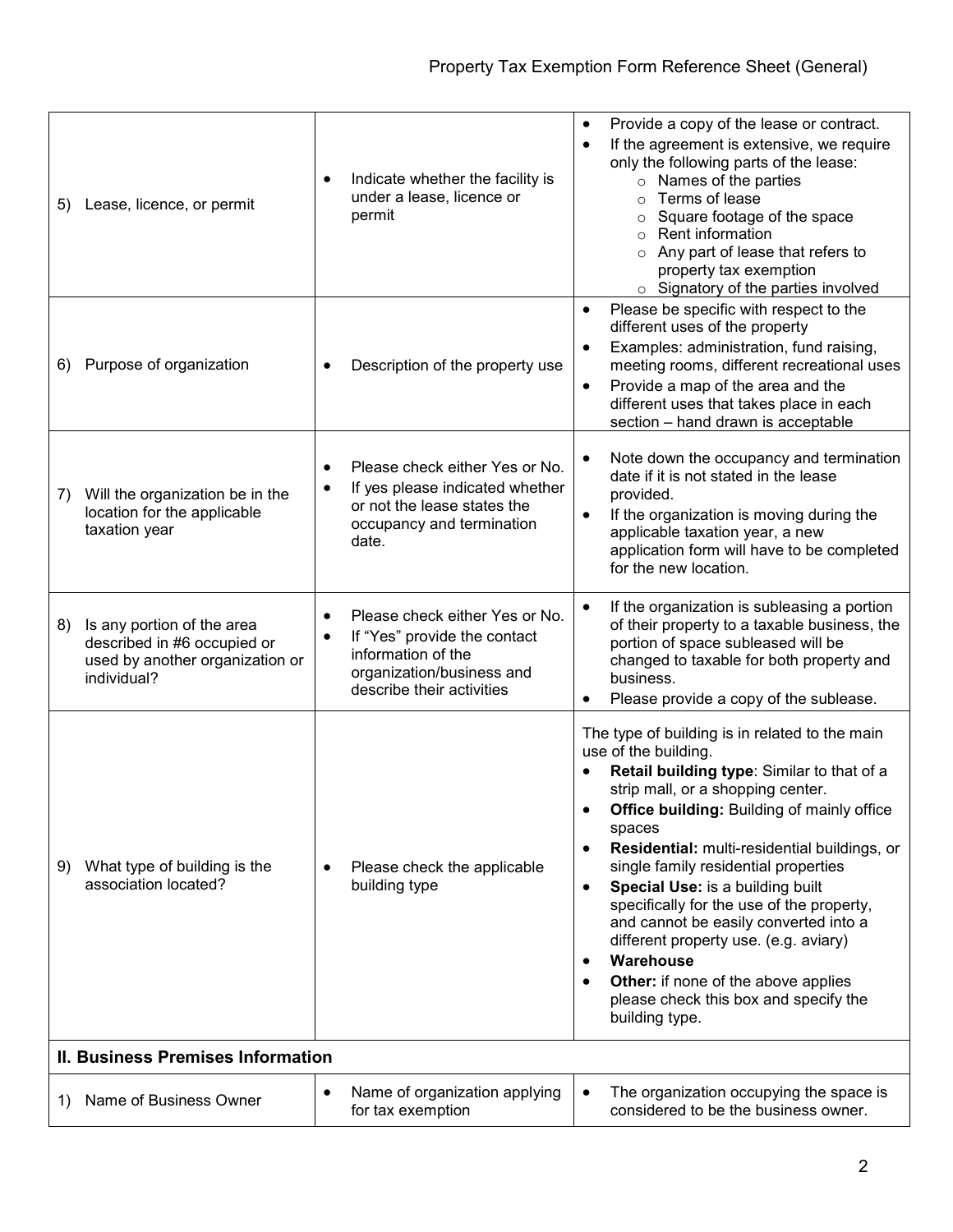| Lease, licence, or permit<br>5)                                                                                   | Indicate whether the facility is<br>$\bullet$<br>under a lease, licence or<br>permit                                                                     | Provide a copy of the lease or contract.<br>$\bullet$<br>If the agreement is extensive, we require<br>only the following parts of the lease:<br>$\circ$ Names of the parties<br>Terms of lease<br>$\circ$<br>Square footage of the space<br>$\circ$<br>Rent information<br>$\circ$<br>Any part of lease that refers to<br>$\circ$<br>property tax exemption<br>Signatory of the parties involved<br>$\circ$                                                                                                                                                                                                                                      |  |  |  |
|-------------------------------------------------------------------------------------------------------------------|----------------------------------------------------------------------------------------------------------------------------------------------------------|--------------------------------------------------------------------------------------------------------------------------------------------------------------------------------------------------------------------------------------------------------------------------------------------------------------------------------------------------------------------------------------------------------------------------------------------------------------------------------------------------------------------------------------------------------------------------------------------------------------------------------------------------|--|--|--|
| Purpose of organization<br>6)                                                                                     | Description of the property use                                                                                                                          | Please be specific with respect to the<br>٠<br>different uses of the property<br>Examples: administration, fund raising,<br>$\bullet$<br>meeting rooms, different recreational uses<br>Provide a map of the area and the<br>$\bullet$<br>different uses that takes place in each<br>section - hand drawn is acceptable                                                                                                                                                                                                                                                                                                                           |  |  |  |
| Will the organization be in the<br>7)<br>location for the applicable<br>taxation year                             | Please check either Yes or No.<br>$\bullet$<br>If yes please indicated whether<br>٠<br>or not the lease states the<br>occupancy and termination<br>date. | Note down the occupancy and termination<br>date if it is not stated in the lease<br>provided.<br>If the organization is moving during the<br>$\bullet$<br>applicable taxation year, a new<br>application form will have to be completed<br>for the new location.                                                                                                                                                                                                                                                                                                                                                                                 |  |  |  |
| 8)<br>Is any portion of the area<br>described in #6 occupied or<br>used by another organization or<br>individual? | Please check either Yes or No.<br>٠<br>If "Yes" provide the contact<br>٠<br>information of the<br>organization/business and<br>describe their activities | If the organization is subleasing a portion<br>$\bullet$<br>of their property to a taxable business, the<br>portion of space subleased will be<br>changed to taxable for both property and<br>business.<br>Please provide a copy of the sublease.                                                                                                                                                                                                                                                                                                                                                                                                |  |  |  |
| What type of building is the<br>9)<br>association located?                                                        | Please check the applicable<br>$\bullet$<br>building type                                                                                                | The type of building is in related to the main<br>use of the building.<br>Retail building type: Similar to that of a<br>strip mall, or a shopping center.<br><b>Office building: Building of mainly office</b><br>spaces<br>Residential: multi-residential buildings, or<br>$\bullet$<br>single family residential properties<br>Special Use: is a building built<br>$\bullet$<br>specifically for the use of the property,<br>and cannot be easily converted into a<br>different property use. (e.g. aviary)<br>Warehouse<br>$\bullet$<br><b>Other:</b> if none of the above applies<br>please check this box and specify the<br>building type. |  |  |  |
|                                                                                                                   | <b>II. Business Premises Information</b>                                                                                                                 |                                                                                                                                                                                                                                                                                                                                                                                                                                                                                                                                                                                                                                                  |  |  |  |
| Name of Business Owner<br>1)                                                                                      | Name of organization applying<br>$\bullet$<br>for tax exemption                                                                                          | The organization occupying the space is<br>considered to be the business owner.                                                                                                                                                                                                                                                                                                                                                                                                                                                                                                                                                                  |  |  |  |
|                                                                                                                   |                                                                                                                                                          |                                                                                                                                                                                                                                                                                                                                                                                                                                                                                                                                                                                                                                                  |  |  |  |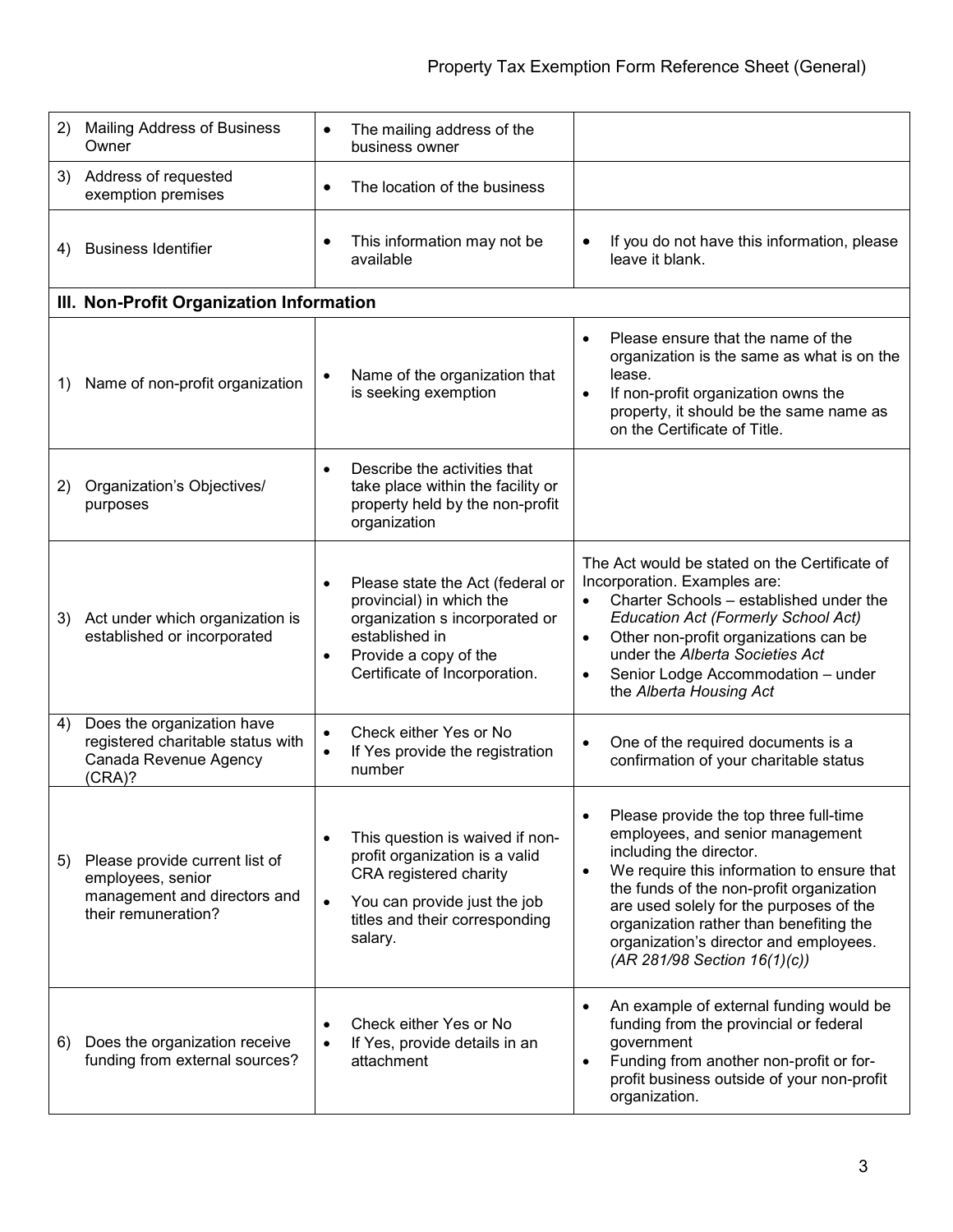| (2) | <b>Mailing Address of Business</b><br>Owner                                                                | $\bullet$              | The mailing address of the<br>business owner                                                                                                                               |                                     |                                                                                                                                                                                                                                                                                                                                                                 |
|-----|------------------------------------------------------------------------------------------------------------|------------------------|----------------------------------------------------------------------------------------------------------------------------------------------------------------------------|-------------------------------------|-----------------------------------------------------------------------------------------------------------------------------------------------------------------------------------------------------------------------------------------------------------------------------------------------------------------------------------------------------------------|
|     | 3) Address of requested<br>exemption premises                                                              | $\bullet$              | The location of the business                                                                                                                                               |                                     |                                                                                                                                                                                                                                                                                                                                                                 |
| 4)  | <b>Business Identifier</b>                                                                                 | $\bullet$              | This information may not be<br>available                                                                                                                                   |                                     | If you do not have this information, please<br>leave it blank.                                                                                                                                                                                                                                                                                                  |
|     | III. Non-Profit Organization Information                                                                   |                        |                                                                                                                                                                            |                                     |                                                                                                                                                                                                                                                                                                                                                                 |
| 1)  | Name of non-profit organization                                                                            |                        | Name of the organization that<br>is seeking exemption                                                                                                                      | $\bullet$<br>$\bullet$              | Please ensure that the name of the<br>organization is the same as what is on the<br>lease.<br>If non-profit organization owns the<br>property, it should be the same name as<br>on the Certificate of Title.                                                                                                                                                    |
| 2)  | Organization's Objectives/<br>purposes                                                                     | $\bullet$              | Describe the activities that<br>take place within the facility or<br>property held by the non-profit<br>organization                                                       |                                     |                                                                                                                                                                                                                                                                                                                                                                 |
| 3)  | Act under which organization is<br>established or incorporated                                             | $\bullet$<br>$\bullet$ | Please state the Act (federal or<br>provincial) in which the<br>organization s incorporated or<br>established in<br>Provide a copy of the<br>Certificate of Incorporation. | $\bullet$<br>$\bullet$<br>$\bullet$ | The Act would be stated on the Certificate of<br>Incorporation. Examples are:<br>Charter Schools - established under the<br><b>Education Act (Formerly School Act)</b><br>Other non-profit organizations can be<br>under the Alberta Societies Act<br>Senior Lodge Accommodation - under<br>the Alberta Housing Act                                             |
| 4)  | Does the organization have<br>registered charitable status with<br>Canada Revenue Agency<br>(CRA)?         | $\bullet$<br>$\bullet$ | Check either Yes or No<br>If Yes provide the registration<br>number                                                                                                        | $\bullet$                           | One of the required documents is a<br>confirmation of your charitable status                                                                                                                                                                                                                                                                                    |
| 5)  | Please provide current list of<br>employees, senior<br>management and directors and<br>their remuneration? | $\bullet$<br>$\bullet$ | This question is waived if non-<br>profit organization is a valid<br>CRA registered charity<br>You can provide just the job<br>titles and their corresponding<br>salary.   | $\bullet$                           | Please provide the top three full-time<br>employees, and senior management<br>including the director.<br>We require this information to ensure that<br>the funds of the non-profit organization<br>are used solely for the purposes of the<br>organization rather than benefiting the<br>organization's director and employees.<br>(AR 281/98 Section 16(1)(c)) |
| 6)  | Does the organization receive<br>funding from external sources?                                            | $\bullet$<br>$\bullet$ | Check either Yes or No<br>If Yes, provide details in an<br>attachment                                                                                                      | $\bullet$<br>$\bullet$              | An example of external funding would be<br>funding from the provincial or federal<br>government<br>Funding from another non-profit or for-<br>profit business outside of your non-profit<br>organization.                                                                                                                                                       |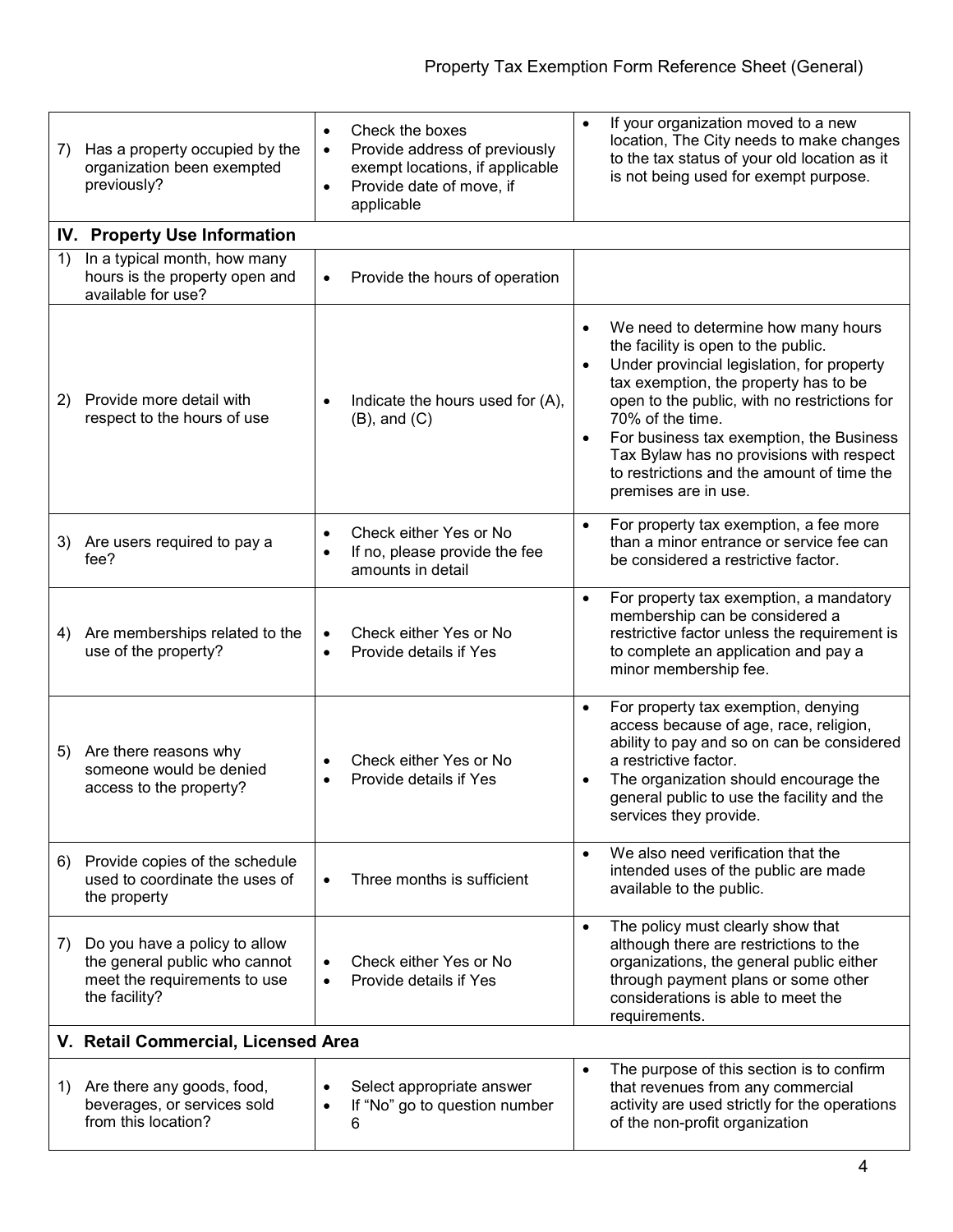| 7) | Has a property occupied by the<br>organization been exempted<br>previously?                                     | Check the boxes<br>$\bullet$<br>Provide address of previously<br>$\bullet$<br>exempt locations, if applicable<br>Provide date of move, if<br>$\bullet$<br>applicable | If your organization moved to a new<br>$\bullet$<br>location, The City needs to make changes<br>to the tax status of your old location as it<br>is not being used for exempt purpose.                                                                                                                                                                                                                                                      |
|----|-----------------------------------------------------------------------------------------------------------------|----------------------------------------------------------------------------------------------------------------------------------------------------------------------|--------------------------------------------------------------------------------------------------------------------------------------------------------------------------------------------------------------------------------------------------------------------------------------------------------------------------------------------------------------------------------------------------------------------------------------------|
|    | IV. Property Use Information                                                                                    |                                                                                                                                                                      |                                                                                                                                                                                                                                                                                                                                                                                                                                            |
| 1) | In a typical month, how many<br>hours is the property open and<br>available for use?                            | Provide the hours of operation<br>$\bullet$                                                                                                                          |                                                                                                                                                                                                                                                                                                                                                                                                                                            |
| 2) | Provide more detail with<br>respect to the hours of use                                                         | Indicate the hours used for (A),<br>$(B)$ , and $(C)$                                                                                                                | We need to determine how many hours<br>$\bullet$<br>the facility is open to the public.<br>Under provincial legislation, for property<br>$\bullet$<br>tax exemption, the property has to be<br>open to the public, with no restrictions for<br>70% of the time.<br>For business tax exemption, the Business<br>$\bullet$<br>Tax Bylaw has no provisions with respect<br>to restrictions and the amount of time the<br>premises are in use. |
| 3) | Are users required to pay a<br>fee?                                                                             | Check either Yes or No<br>If no, please provide the fee<br>amounts in detail                                                                                         | For property tax exemption, a fee more<br>$\bullet$<br>than a minor entrance or service fee can<br>be considered a restrictive factor.                                                                                                                                                                                                                                                                                                     |
| 4) | Are memberships related to the<br>use of the property?                                                          | Check either Yes or No<br>$\bullet$<br>Provide details if Yes<br>$\bullet$                                                                                           | For property tax exemption, a mandatory<br>$\bullet$<br>membership can be considered a<br>restrictive factor unless the requirement is<br>to complete an application and pay a<br>minor membership fee.                                                                                                                                                                                                                                    |
| 5) | Are there reasons why<br>someone would be denied<br>access to the property?                                     | Check either Yes or No<br>Provide details if Yes                                                                                                                     | For property tax exemption, denying<br>$\bullet$<br>access because of age, race, religion,<br>ability to pay and so on can be considered<br>a restrictive factor.<br>The organization should encourage the<br>$\bullet$<br>general public to use the facility and the<br>services they provide.                                                                                                                                            |
| 6) | Provide copies of the schedule<br>used to coordinate the uses of<br>the property                                | Three months is sufficient                                                                                                                                           | We also need verification that the<br>$\bullet$<br>intended uses of the public are made<br>available to the public.                                                                                                                                                                                                                                                                                                                        |
| 7) | Do you have a policy to allow<br>the general public who cannot<br>meet the requirements to use<br>the facility? | Check either Yes or No<br>Provide details if Yes<br>$\bullet$                                                                                                        | The policy must clearly show that<br>$\bullet$<br>although there are restrictions to the<br>organizations, the general public either<br>through payment plans or some other<br>considerations is able to meet the<br>requirements.                                                                                                                                                                                                         |
|    | V. Retail Commercial, Licensed Area                                                                             |                                                                                                                                                                      |                                                                                                                                                                                                                                                                                                                                                                                                                                            |
| 1) | Are there any goods, food,<br>beverages, or services sold<br>from this location?                                | Select appropriate answer<br>If "No" go to question number<br>$\bullet$<br>6                                                                                         | The purpose of this section is to confirm<br>$\bullet$<br>that revenues from any commercial<br>activity are used strictly for the operations<br>of the non-profit organization                                                                                                                                                                                                                                                             |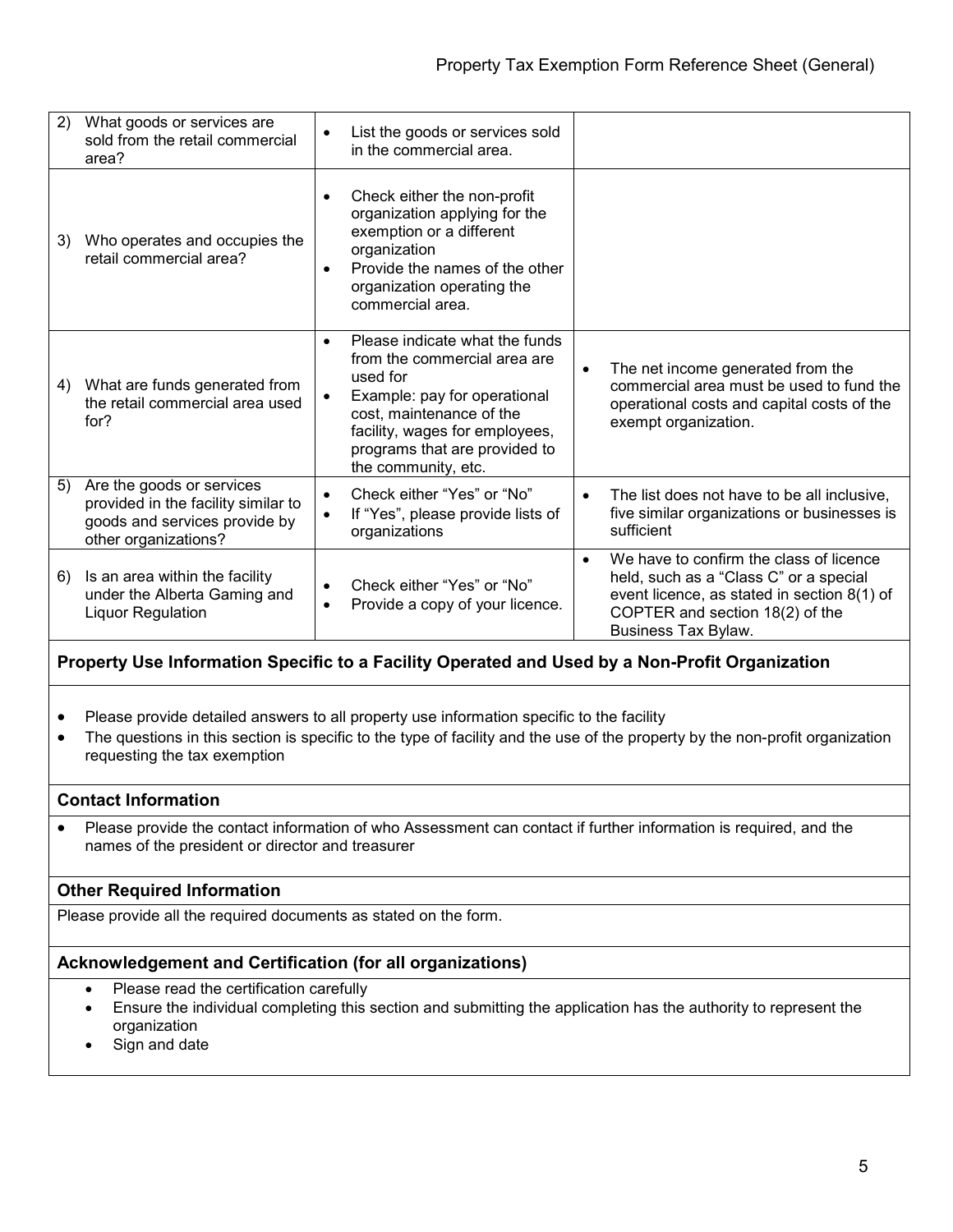| 2) | What goods or services are<br>sold from the retail commercial<br>area?                                                    | $\bullet$              | List the goods or services sold<br>in the commercial area.                                                                                                                                                                       |           |                                                                                                                                                                                            |
|----|---------------------------------------------------------------------------------------------------------------------------|------------------------|----------------------------------------------------------------------------------------------------------------------------------------------------------------------------------------------------------------------------------|-----------|--------------------------------------------------------------------------------------------------------------------------------------------------------------------------------------------|
| 3) | Who operates and occupies the<br>retail commercial area?                                                                  | $\bullet$<br>$\bullet$ | Check either the non-profit<br>organization applying for the<br>exemption or a different<br>organization<br>Provide the names of the other<br>organization operating the<br>commercial area.                                     |           |                                                                                                                                                                                            |
| 4) | What are funds generated from<br>the retail commercial area used<br>for?                                                  | $\bullet$<br>$\bullet$ | Please indicate what the funds<br>from the commercial area are<br>used for<br>Example: pay for operational<br>cost, maintenance of the<br>facility, wages for employees,<br>programs that are provided to<br>the community, etc. | $\bullet$ | The net income generated from the<br>commercial area must be used to fund the<br>operational costs and capital costs of the<br>exempt organization.                                        |
| 5) | Are the goods or services<br>provided in the facility similar to<br>goods and services provide by<br>other organizations? | $\bullet$<br>$\bullet$ | Check either "Yes" or "No"<br>If "Yes", please provide lists of<br>organizations                                                                                                                                                 |           | The list does not have to be all inclusive,<br>five similar organizations or businesses is<br>sufficient                                                                                   |
| 6) | Is an area within the facility<br>under the Alberta Gaming and<br>Liquor Regulation                                       | $\bullet$              | Check either "Yes" or "No"<br>Provide a copy of your licence.                                                                                                                                                                    |           | We have to confirm the class of licence<br>held, such as a "Class C" or a special<br>event licence, as stated in section 8(1) of<br>COPTER and section 18(2) of the<br>Business Tax Bylaw. |

## **Property Use Information Specific to a Facility Operated and Used by a Non-Profit Organization**

- Please provide detailed answers to all property use information specific to the facility
- The questions in this section is specific to the type of facility and the use of the property by the non-profit organization requesting the tax exemption

#### **Contact Information**

• Please provide the contact information of who Assessment can contact if further information is required, and the names of the president or director and treasurer

## **Other Required Information**

Please provide all the required documents as stated on the form.

## **Acknowledgement and Certification (for all organizations)**

- Please read the certification carefully
- Ensure the individual completing this section and submitting the application has the authority to represent the organization
- Sign and date